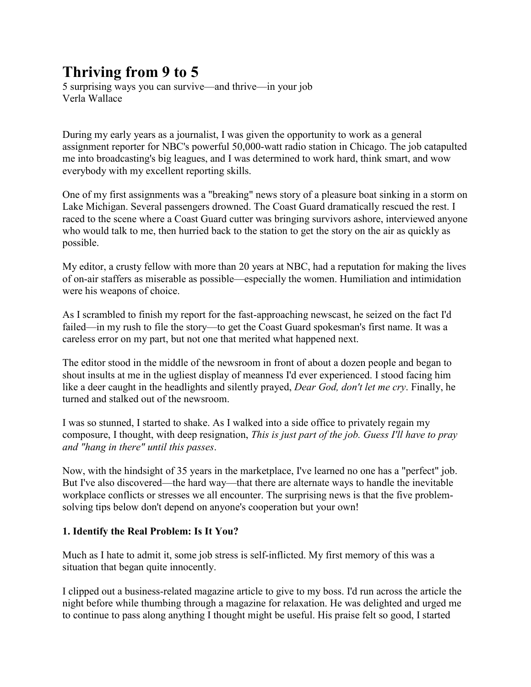# **Thriving from 9 to 5**

5 surprising ways you can survive—and thrive—in your job Verla Wallace

During my early years as a journalist, I was given the opportunity to work as a general assignment reporter for NBC's powerful 50,000-watt radio station in Chicago. The job catapulted me into broadcasting's big leagues, and I was determined to work hard, think smart, and wow everybody with my excellent reporting skills.

One of my first assignments was a "breaking" news story of a pleasure boat sinking in a storm on Lake Michigan. Several passengers drowned. The Coast Guard dramatically rescued the rest. I raced to the scene where a Coast Guard cutter was bringing survivors ashore, interviewed anyone who would talk to me, then hurried back to the station to get the story on the air as quickly as possible.

My editor, a crusty fellow with more than 20 years at NBC, had a reputation for making the lives of on-air staffers as miserable as possible—especially the women. Humiliation and intimidation were his weapons of choice.

As I scrambled to finish my report for the fast-approaching newscast, he seized on the fact I'd failed—in my rush to file the story—to get the Coast Guard spokesman's first name. It was a careless error on my part, but not one that merited what happened next.

The editor stood in the middle of the newsroom in front of about a dozen people and began to shout insults at me in the ugliest display of meanness I'd ever experienced. I stood facing him like a deer caught in the headlights and silently prayed, *Dear God, don't let me cry*. Finally, he turned and stalked out of the newsroom.

I was so stunned, I started to shake. As I walked into a side office to privately regain my composure, I thought, with deep resignation, *This is just part of the job. Guess I'll have to pray and "hang in there" until this passes*.

Now, with the hindsight of 35 years in the marketplace, I've learned no one has a "perfect" job. But I've also discovered—the hard way—that there are alternate ways to handle the inevitable workplace conflicts or stresses we all encounter. The surprising news is that the five problemsolving tips below don't depend on anyone's cooperation but your own!

# **1. Identify the Real Problem: Is It You?**

Much as I hate to admit it, some job stress is self-inflicted. My first memory of this was a situation that began quite innocently.

I clipped out a business-related magazine article to give to my boss. I'd run across the article the night before while thumbing through a magazine for relaxation. He was delighted and urged me to continue to pass along anything I thought might be useful. His praise felt so good, I started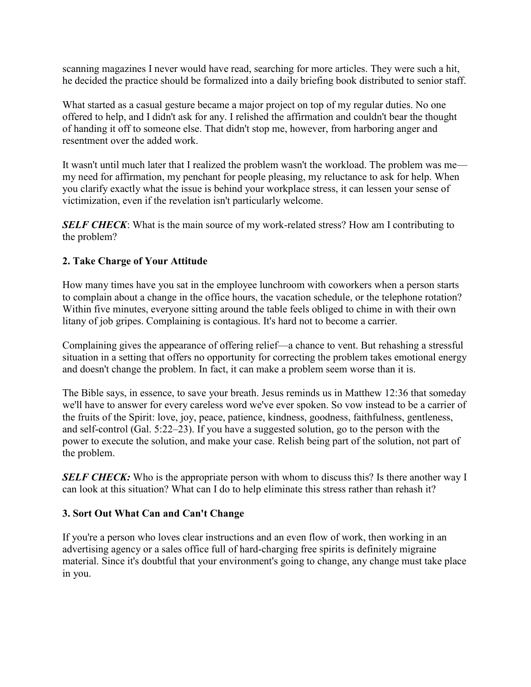scanning magazines I never would have read, searching for more articles. They were such a hit, he decided the practice should be formalized into a daily briefing book distributed to senior staff.

What started as a casual gesture became a major project on top of my regular duties. No one offered to help, and I didn't ask for any. I relished the affirmation and couldn't bear the thought of handing it off to someone else. That didn't stop me, however, from harboring anger and resentment over the added work.

It wasn't until much later that I realized the problem wasn't the workload. The problem was me my need for affirmation, my penchant for people pleasing, my reluctance to ask for help. When you clarify exactly what the issue is behind your workplace stress, it can lessen your sense of victimization, even if the revelation isn't particularly welcome.

**SELF CHECK:** What is the main source of my work-related stress? How am I contributing to the problem?

# **2. Take Charge of Your Attitude**

How many times have you sat in the employee lunchroom with coworkers when a person starts to complain about a change in the office hours, the vacation schedule, or the telephone rotation? Within five minutes, everyone sitting around the table feels obliged to chime in with their own litany of job gripes. Complaining is contagious. It's hard not to become a carrier.

Complaining gives the appearance of offering relief—a chance to vent. But rehashing a stressful situation in a setting that offers no opportunity for correcting the problem takes emotional energy and doesn't change the problem. In fact, it can make a problem seem worse than it is.

The Bible says, in essence, to save your breath. Jesus reminds us in Matthew 12:36 that someday we'll have to answer for every careless word we've ever spoken. So vow instead to be a carrier of the fruits of the Spirit: love, joy, peace, patience, kindness, goodness, faithfulness, gentleness, and self-control (Gal. 5:22–23). If you have a suggested solution, go to the person with the power to execute the solution, and make your case. Relish being part of the solution, not part of the problem.

*SELF CHECK:* Who is the appropriate person with whom to discuss this? Is there another way I can look at this situation? What can I do to help eliminate this stress rather than rehash it?

# **3. Sort Out What Can and Can't Change**

If you're a person who loves clear instructions and an even flow of work, then working in an advertising agency or a sales office full of hard-charging free spirits is definitely migraine material. Since it's doubtful that your environment's going to change, any change must take place in you.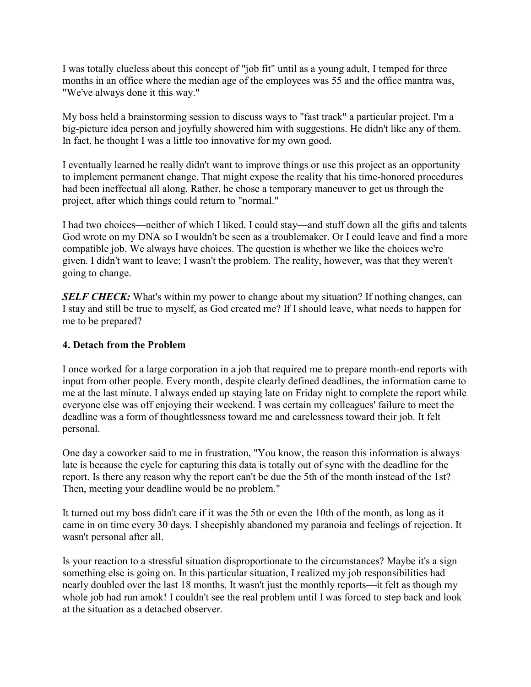I was totally clueless about this concept of "job fit" until as a young adult, I temped for three months in an office where the median age of the employees was 55 and the office mantra was, "We've always done it this way."

My boss held a brainstorming session to discuss ways to "fast track" a particular project. I'm a big-picture idea person and joyfully showered him with suggestions. He didn't like any of them. In fact, he thought I was a little too innovative for my own good.

I eventually learned he really didn't want to improve things or use this project as an opportunity to implement permanent change. That might expose the reality that his time-honored procedures had been ineffectual all along. Rather, he chose a temporary maneuver to get us through the project, after which things could return to "normal."

I had two choices—neither of which I liked. I could stay—and stuff down all the gifts and talents God wrote on my DNA so I wouldn't be seen as a troublemaker. Or I could leave and find a more compatible job. We always have choices. The question is whether we like the choices we're given. I didn't want to leave; I wasn't the problem. The reality, however, was that they weren't going to change.

**SELF CHECK:** What's within my power to change about my situation? If nothing changes, can I stay and still be true to myself, as God created me? If I should leave, what needs to happen for me to be prepared?

#### **4. Detach from the Problem**

I once worked for a large corporation in a job that required me to prepare month-end reports with input from other people. Every month, despite clearly defined deadlines, the information came to me at the last minute. I always ended up staying late on Friday night to complete the report while everyone else was off enjoying their weekend. I was certain my colleagues' failure to meet the deadline was a form of thoughtlessness toward me and carelessness toward their job. It felt personal.

One day a coworker said to me in frustration, "You know, the reason this information is always late is because the cycle for capturing this data is totally out of sync with the deadline for the report. Is there any reason why the report can't be due the 5th of the month instead of the 1st? Then, meeting your deadline would be no problem."

It turned out my boss didn't care if it was the 5th or even the 10th of the month, as long as it came in on time every 30 days. I sheepishly abandoned my paranoia and feelings of rejection. It wasn't personal after all.

Is your reaction to a stressful situation disproportionate to the circumstances? Maybe it's a sign something else is going on. In this particular situation, I realized my job responsibilities had nearly doubled over the last 18 months. It wasn't just the monthly reports—it felt as though my whole job had run amok! I couldn't see the real problem until I was forced to step back and look at the situation as a detached observer.